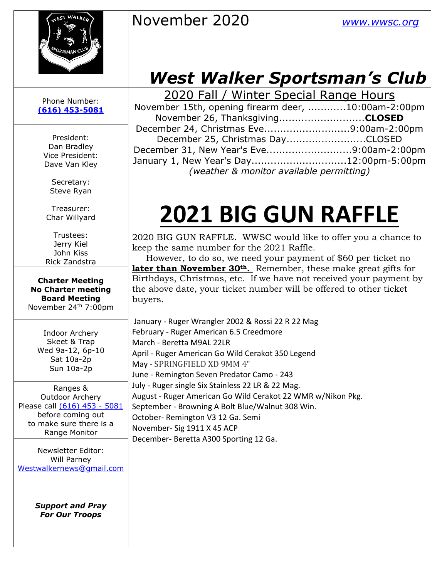

## *West Walker Sportsman's Club*

| 2020 Fall / Winter Special Range Hours              |  |
|-----------------------------------------------------|--|
| November 15th, opening firearm deer, 10:00am-2:00pm |  |
| November 26, ThanksgivingCLOSED                     |  |
| December 24, Christmas Eve9:00am-2:00pm             |  |
| December 25, Christmas DayCLOSED                    |  |
| December 31, New Year's Eve9:00am-2:00pm            |  |
| January 1, New Year's Day12:00pm-5:00pm             |  |
| (weather & monitor available permitting)            |  |

# **2021 BIG GUN RAFFLE**

2020 BIG GUN RAFFLE. WWSC would like to offer you a chance to keep the same number for the 2021 Raffle.

 However, to do so, we need your payment of \$60 per ticket no **later than November 30th.** Remember, these make great gifts for Birthdays, Christmas, etc. If we have not received your payment by the above date, your ticket number will be offered to other ticket buyers.

| January - Ruger Wrangler 2002 & Rossi 22 R 22 Mag           |
|-------------------------------------------------------------|
| February - Ruger American 6.5 Creedmore                     |
| March - Beretta M9AL 22LR                                   |
| April - Ruger American Go Wild Cerakot 350 Legend           |
| May - SPRINGFIELD XD 9MM 4"                                 |
| June - Remington Seven Predator Camo - 243                  |
| July - Ruger single Six Stainless 22 LR & 22 Mag.           |
| August - Ruger American Go Wild Cerakot 22 WMR w/Nikon Pkg. |
| September - Browning A Bolt Blue/Walnut 308 Win.            |
| October- Remington V3 12 Ga. Semi                           |
| November-Sig 1911 X 45 ACP                                  |
| December- Beretta A300 Sporting 12 Ga.                      |
|                                                             |
|                                                             |

Phone Number: **[\(616\) 453-5081](https://d.docs.live.net/100b2af0d7ad2324/Documents/wwsc%20newsletters%202019/docx/616)%20453-5081)**

President: Dan Bradley Vice President: Dave Van Kley

> Secretary: Steve Ryan

Treasurer: Char Willyard

Trustees: Jerry Kiel John Kiss Rick Zandstra

**Charter Meeting No Charter meeting Board Meeting** November 24<sup>th</sup> 7:00pm

> Indoor Archery Skeet & Trap Wed 9a-12, 6p-10 Sat 10a-2p Sun 10a-2p

Ranges & Outdoor Archery Please call [\(616\) 453 -](https://d.docs.live.net/100b2af0d7ad2324/Documents/wwsc%20newsletters%202019/docx/616)%20453-5081) 5081 before coming out to make sure there is a Range Monitor

Newsletter Editor: Will Parney [Westwalkernews@gmail.com](mailto:Westwalkernews@gmail.com)

> *Support and Pray For Our Troops*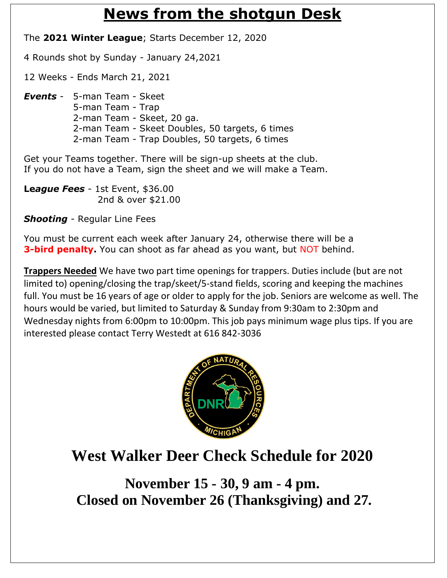### **News from the shotgun Desk**

The **2021 Winter League**; Starts December 12, 2020

4 Rounds shot by Sunday - January 24,2021

12 Weeks - Ends March 21, 2021

*Events* - 5-man Team - Skeet 5-man Team - Trap 2-man Team - Skeet, 20 ga. 2-man Team - Skeet Doubles, 50 targets, 6 times 2-man Team - Trap Doubles, 50 targets, 6 times

Get your Teams together. There will be sign-up sheets at the club. If you do not have a Team, sign the sheet and we will make a Team.

**Le***ague Fees* - 1st Event, \$36.00 2nd & over \$21.00

*Shooting* - Regular Line Fees

You must be current each week after January 24, otherwise there will be a **3-bird penalty.** You can shoot as far ahead as you want, but NOT behind.

**Trappers Needed** We have two part time openings for trappers. Duties include (but are not limited to) opening/closing the trap/skeet/5-stand fields, scoring and keeping the machines full. You must be 16 years of age or older to apply for the job. Seniors are welcome as well. The hours would be varied, but limited to Saturday & Sunday from 9:30am to 2:30pm and Wednesday nights from 6:00pm to 10:00pm. This job pays minimum wage plus tips. If you are interested please contact Terry Westedt at 616 842-3036



### **West Walker Deer Check Schedule for 2020**

**November 15 - 30, 9 am - 4 pm. Closed on November 26 (Thanksgiving) and 27.**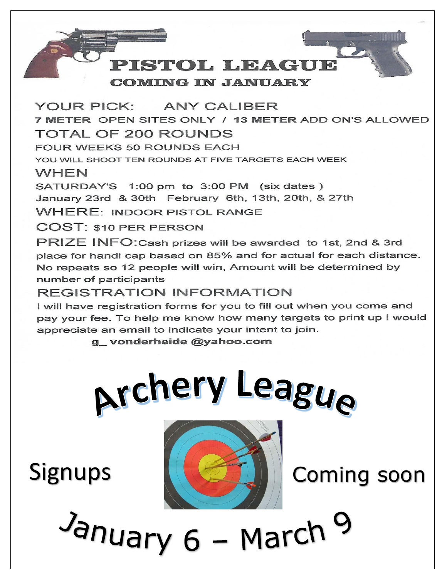

**ANY CALIBER** YOUR PICK: 7 METER OPEN SITES ONLY / 13 METER ADD ON'S ALLOWED **TOTAL OF 200 ROUNDS FOUR WEEKS 50 ROUNDS EACH** YOU WILL SHOOT TEN ROUNDS AT FIVE TARGETS EACH WEEK **WHEN** SATURDAY'S 1:00 pm to 3:00 PM (six dates) January 23rd & 30th February 6th, 13th, 20th, & 27th **WHERE: INDOOR PISTOL RANGE COST: \$10 PER PERSON** PRIZE INFO: Cash prizes will be awarded to 1st, 2nd & 3rd place for handi cap based on 85% and for actual for each distance. No repeats so 12 people will win, Amount will be determined by number of participants **REGISTRATION INFORMATION** 

I will have registration forms for you to fill out when you come and pay your fee. To help me know how many targets to print up I would appreciate an email to indicate your intent to join.

g vonderheide @yahoo.com



January 6 – March 9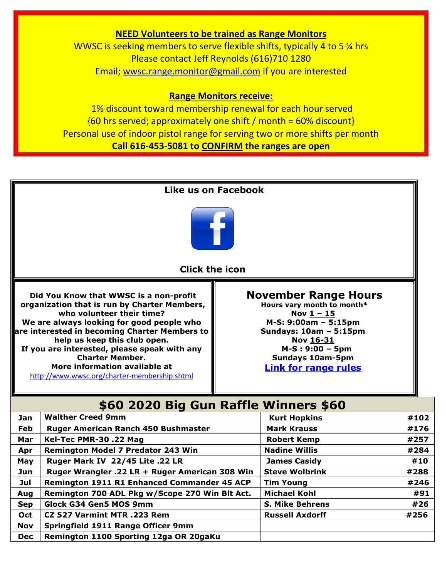#### **NEED Volunteers to be trained as Range Monitors**

WWSC is seeking members to serve flexible shifts, typically 4 to 5 % hrs Please contact Jeff Reynolds (616)710 1280 Email; [wwsc.range.monitor@gmail.com](mailto:wwsc.range.monitor@gmail.com) if you are interested

#### **Range Monitors receive:**

1% discount toward membership renewal for each hour served  ${60 \text{ hrs}$  served; approximately one shift / month = 60% discount} Personal use of indoor pistol range for serving two or more shifts per month **Call 616-453-5081 to CONFIRM the ranges are open**



**Oct CZ 527 Varmint MTR .223 Rem Russell Axdorff EXEC 1256** 

**Nov Springfield 1911 Range Officer 9mm** 

**Dec Remington 1100 Sporting 12ga OR 20gaKu**